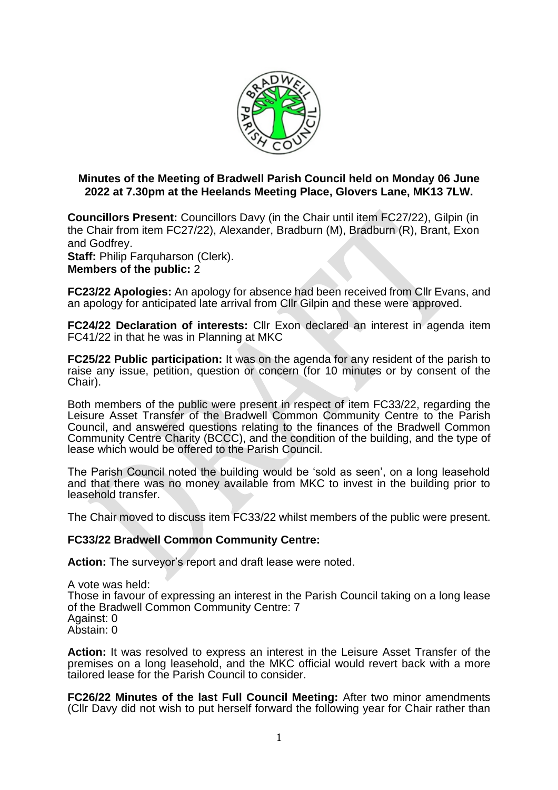

# **Minutes of the Meeting of Bradwell Parish Council held on Monday 06 June 2022 at 7.30pm at the Heelands Meeting Place, Glovers Lane, MK13 7LW.**

**Councillors Present:** Councillors Davy (in the Chair until item FC27/22), Gilpin (in the Chair from item FC27/22), Alexander, Bradburn (M), Bradburn (R), Brant, Exon and Godfrey.

Staff: Philip Farquharson (Clerk).

**Members of the public:** 2

**FC23/22 Apologies:** An apology for absence had been received from Cllr Evans, and an apology for anticipated late arrival from Cllr Gilpin and these were approved.

**FC24/22 Declaration of interests:** Cllr Exon declared an interest in agenda item FC41/22 in that he was in Planning at MKC

**FC25/22 Public participation:** It was on the agenda for any resident of the parish to raise any issue, petition, question or concern (for 10 minutes or by consent of the Chair).

Both members of the public were present in respect of item FC33/22, regarding the Leisure Asset Transfer of the Bradwell Common Community Centre to the Parish Council, and answered questions relating to the finances of the Bradwell Common Community Centre Charity (BCCC), and the condition of the building, and the type of lease which would be offered to the Parish Council.

The Parish Council noted the building would be 'sold as seen', on a long leasehold and that there was no money available from MKC to invest in the building prior to leasehold transfer.

The Chair moved to discuss item FC33/22 whilst members of the public were present.

#### **FC33/22 Bradwell Common Community Centre:**

**Action:** The surveyor's report and draft lease were noted.

A vote was held: Those in favour of expressing an interest in the Parish Council taking on a long lease of the Bradwell Common Community Centre: 7 Against: 0 Abstain: 0

**Action:** It was resolved to express an interest in the Leisure Asset Transfer of the premises on a long leasehold, and the MKC official would revert back with a more tailored lease for the Parish Council to consider.

**FC26/22 Minutes of the last Full Council Meeting:** After two minor amendments (Cllr Davy did not wish to put herself forward the following year for Chair rather than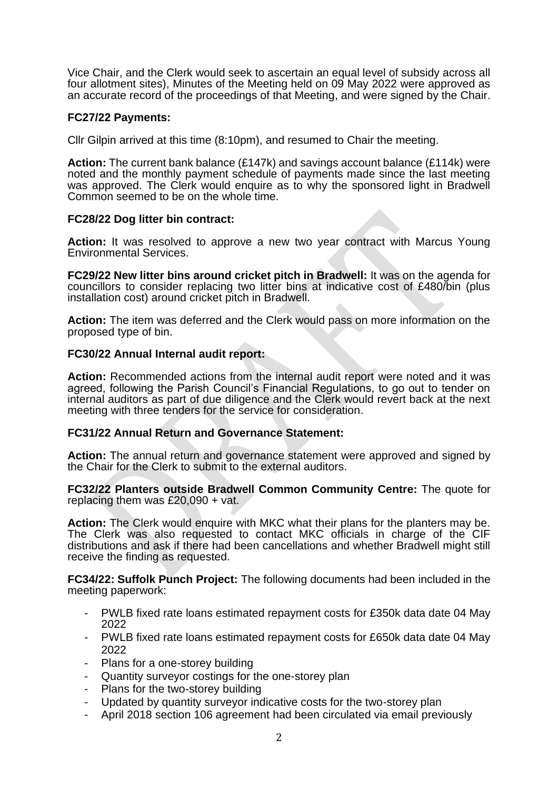Vice Chair, and the Clerk would seek to ascertain an equal level of subsidy across all four allotment sites), Minutes of the Meeting held on 09 May 2022 were approved as an accurate record of the proceedings of that Meeting, and were signed by the Chair.

## **FC27/22 Payments:**

Cllr Gilpin arrived at this time (8:10pm), and resumed to Chair the meeting.

**Action:** The current bank balance (£147k) and savings account balance (£114k) were noted and the monthly payment schedule of payments made since the last meeting was approved. The Clerk would enquire as to why the sponsored light in Bradwell Common seemed to be on the whole time.

## **FC28/22 Dog litter bin contract:**

**Action:** It was resolved to approve a new two year contract with Marcus Young Environmental Services.

**FC29/22 New litter bins around cricket pitch in Bradwell:** It was on the agenda for councillors to consider replacing two litter bins at indicative cost of £480/bin (plus installation cost) around cricket pitch in Bradwell.

**Action:** The item was deferred and the Clerk would pass on more information on the proposed type of bin.

## **FC30/22 Annual Internal audit report:**

**Action:** Recommended actions from the internal audit report were noted and it was agreed, following the Parish Council's Financial Regulations, to go out to tender on internal auditors as part of due diligence and the Clerk would revert back at the next meeting with three tenders for the service for consideration.

#### **FC31/22 Annual Return and Governance Statement:**

**Action:** The annual return and governance statement were approved and signed by the Chair for the Clerk to submit to the external auditors.

**FC32/22 Planters outside Bradwell Common Community Centre:** The quote for replacing them was £20,090 + vat.

**Action:** The Clerk would enquire with MKC what their plans for the planters may be. The Clerk was also requested to contact MKC officials in charge of the CIF distributions and ask if there had been cancellations and whether Bradwell might still receive the finding as requested.

**FC34/22: Suffolk Punch Project:** The following documents had been included in the meeting paperwork:

- PWLB fixed rate loans estimated repayment costs for £350k data date 04 May 2022
- PWLB fixed rate loans estimated repayment costs for £650k data date 04 May 2022
- Plans for a one-storey building
- Quantity surveyor costings for the one-storey plan
- Plans for the two-storey building
- Updated by quantity surveyor indicative costs for the two-storey plan
- April 2018 section 106 agreement had been circulated via email previously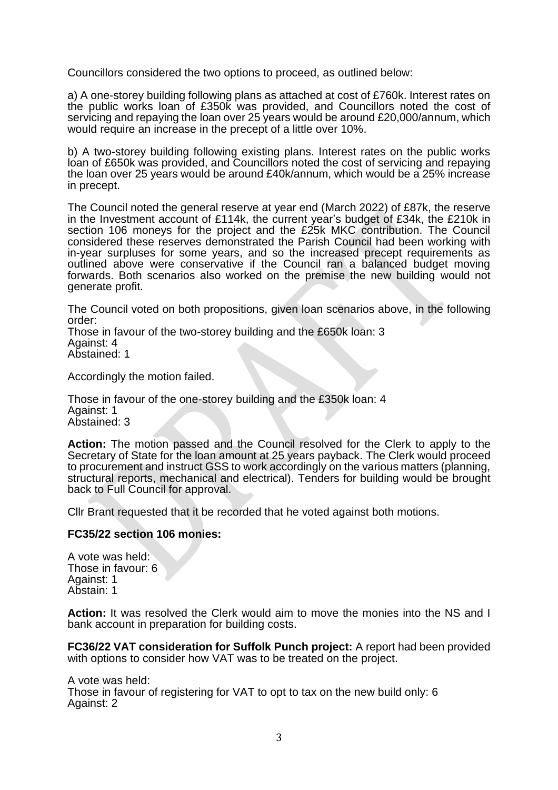Councillors considered the two options to proceed, as outlined below:

a) A one-storey building following plans as attached at cost of £760k. Interest rates on the public works loan of £350k was provided, and Councillors noted the cost of servicing and repaying the loan over 25 years would be around £20,000/annum, which would require an increase in the precept of a little over 10%.

b) A two-storey building following existing plans. Interest rates on the public works loan of £650k was provided, and Councillors noted the cost of servicing and repaying the loan over 25 years would be around £40k/annum, which would be a 25% increase in precept.

The Council noted the general reserve at year end (March 2022) of £87k, the reserve in the Investment account of £114k, the current year's budget of £34k, the £210k in section 106 moneys for the project and the £25k MKC contribution. The Council considered these reserves demonstrated the Parish Council had been working with in-year surpluses for some years, and so the increased precept requirements as outlined above were conservative if the Council ran a balanced budget moving forwards. Both scenarios also worked on the premise the new building would not generate profit.

The Council voted on both propositions, given loan scenarios above, in the following order:

Those in favour of the two-storey building and the £650k loan: 3 Against: 4 Abstained: 1

Accordingly the motion failed.

Those in favour of the one-storey building and the £350k loan: 4 Against: 1 Abstained: 3

**Action:** The motion passed and the Council resolved for the Clerk to apply to the Secretary of State for the loan amount at 25 years payback. The Clerk would proceed to procurement and instruct GSS to work accordingly on the various matters (planning, structural reports, mechanical and electrical). Tenders for building would be brought back to Full Council for approval.

Cllr Brant requested that it be recorded that he voted against both motions.

#### **FC35/22 section 106 monies:**

A vote was held: Those in favour: 6 Against: 1 Abstain: 1

**Action:** It was resolved the Clerk would aim to move the monies into the NS and I bank account in preparation for building costs.

**FC36/22 VAT consideration for Suffolk Punch project:** A report had been provided with options to consider how VAT was to be treated on the project.

A vote was held: Those in favour of registering for VAT to opt to tax on the new build only: 6 Against: 2